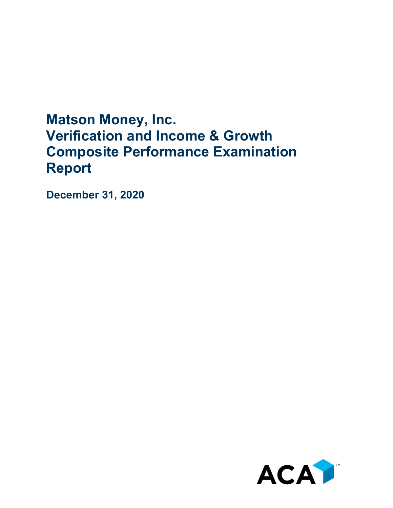## **Matson Money, Inc. Verification and Income & Growth Composite Performance Examination Report**

**December 31, 2020**

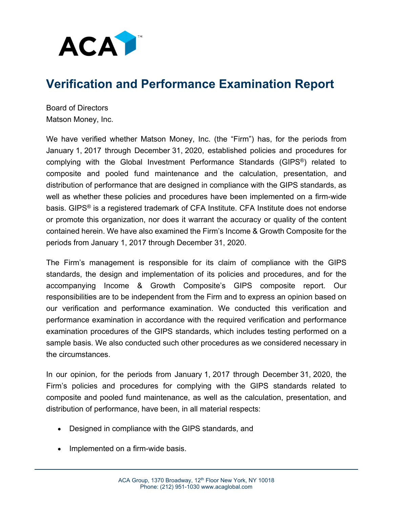

## **Verification and Performance Examination Report**

Board of Directors Matson Money, Inc.

We have verified whether Matson Money, Inc. (the "Firm") has, for the periods from January 1, 2017 through December 31, 2020, established policies and procedures for complying with the Global Investment Performance Standards (GIPS®) related to composite and pooled fund maintenance and the calculation, presentation, and distribution of performance that are designed in compliance with the GIPS standards, as well as whether these policies and procedures have been implemented on a firm-wide basis. GIPS® is a registered trademark of CFA Institute. CFA Institute does not endorse or promote this organization, nor does it warrant the accuracy or quality of the content contained herein. We have also examined the Firm's Income & Growth Composite for the periods from January 1, 2017 through December 31, 2020.

The Firm's management is responsible for its claim of compliance with the GIPS standards, the design and implementation of its policies and procedures, and for the accompanying Income & Growth Composite's GIPS composite report. Our responsibilities are to be independent from the Firm and to express an opinion based on our verification and performance examination. We conducted this verification and performance examination in accordance with the required verification and performance examination procedures of the GIPS standards, which includes testing performed on a sample basis. We also conducted such other procedures as we considered necessary in the circumstances.

In our opinion, for the periods from January 1, 2017 through December 31, 2020, the Firm's policies and procedures for complying with the GIPS standards related to composite and pooled fund maintenance, as well as the calculation, presentation, and distribution of performance, have been, in all material respects:

- Designed in compliance with the GIPS standards, and
- Implemented on a firm-wide basis.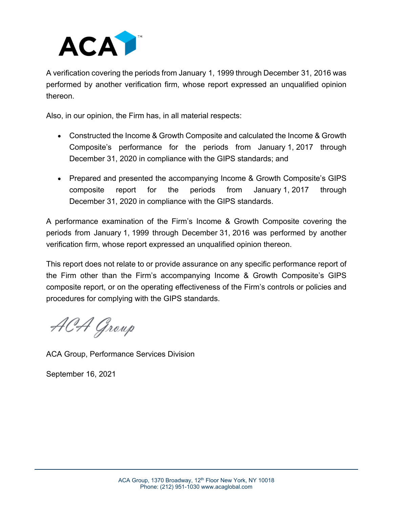

A verification covering the periods from January 1, 1999 through December 31, 2016 was performed by another verification firm, whose report expressed an unqualified opinion thereon.

Also, in our opinion, the Firm has, in all material respects:

- Constructed the Income & Growth Composite and calculated the Income & Growth Composite's performance for the periods from January 1, 2017 through December 31, 2020 in compliance with the GIPS standards; and
- Prepared and presented the accompanying Income & Growth Composite's GIPS composite report for the periods from January 1, 2017 through December 31, 2020 in compliance with the GIPS standards.

A performance examination of the Firm's Income & Growth Composite covering the periods from January 1, 1999 through December 31, 2016 was performed by another verification firm, whose report expressed an unqualified opinion thereon.

This report does not relate to or provide assurance on any specific performance report of the Firm other than the Firm's accompanying Income & Growth Composite's GIPS composite report, or on the operating effectiveness of the Firm's controls or policies and procedures for complying with the GIPS standards.

ACA Group

ACA Group, Performance Services Division

September 16, 2021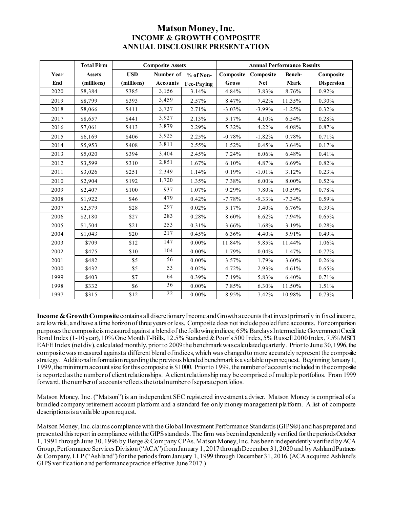## **Matson Money, Inc. INCOME & GROWTH COMPOSITE ANNUAL DISCLOSURE PRESENTATION**

|      | <b>Total Firm</b> | <b>Composite Assets</b> |                 |                     | <b>Annual Performance Results</b> |                     |          |                   |
|------|-------------------|-------------------------|-----------------|---------------------|-----------------------------------|---------------------|----------|-------------------|
| Year | <b>Assets</b>     | <b>USD</b>              |                 | Number of % of Non- |                                   | Composite Composite | Bench-   | Composite         |
| End  | (millions)        | (millions)              | <b>Accounts</b> | Fee-Paying          | Gross                             | <b>Net</b>          | Mark     | <b>Dispersion</b> |
| 2020 | \$8,384           | \$385                   | 3,156           | 3.14%               | 4.84%                             | 3.83%               | 8.76%    | 0.92%             |
| 2019 | \$8,799           | \$393                   | 3,459           | 2.57%               | 8.47%                             | 7.42%               | 11.35%   | 0.30%             |
| 2018 | \$8,066           | \$411                   | 3,737           | 2.71%               | $-3.03%$                          | $-3.99%$            | $-1.25%$ | 0.32%             |
| 2017 | \$8,657           | \$441                   | 3,927           | 2.13%               | 5.17%                             | 4.10%               | 6.54%    | 0.28%             |
| 2016 | \$7,061           | \$413                   | 3,879           | 2.29%               | 5.32%                             | 4.22%               | 4.08%    | 0.87%             |
| 2015 | \$6,169           | \$406                   | 3,925           | 2.25%               | $-0.78%$                          | $-1.82%$            | 0.78%    | 0.71%             |
| 2014 | \$5,953           | \$408                   | 3,811           | 2.55%               | 1.52%                             | 0.45%               | 3.64%    | 0.17%             |
| 2013 | \$5,020           | \$394                   | 3,404           | 2.45%               | 7.24%                             | 6.06%               | 6.48%    | 0.41%             |
| 2012 | \$3,599           | \$310                   | 2,851           | 1.67%               | 6.10%                             | 4.87%               | 6.69%    | 0.82%             |
| 2011 | \$3,026           | \$251                   | 2,349           | 1.14%               | 0.19%                             | $-1.01%$            | 3.12%    | 0.23%             |
| 2010 | \$2,904           | \$192                   | 1,720           | 1.35%               | 7.38%                             | 6.00%               | 8.00%    | 0.52%             |
| 2009 | \$2,407           | \$100                   | 937             | 1.07%               | 9.29%                             | 7.80%               | 10.59%   | 0.78%             |
| 2008 | \$1,922           | \$46                    | 479             | 0.42%               | $-7.78%$                          | $-9.33%$            | $-7.34%$ | 0.59%             |
| 2007 | \$2,579           | \$28                    | 297             | 0.02%               | 5.17%                             | 3.40%               | 6.76%    | 0.39%             |
| 2006 | \$2,180           | \$27                    | 283             | 0.28%               | 8.60%                             | 6.62%               | 7.94%    | 0.65%             |
| 2005 | \$1,504           | \$21                    | 253             | 0.31%               | 3.66%                             | 1.68%               | 3.19%    | 0.28%             |
| 2004 | \$1,043           | \$20                    | 217             | 0.45%               | 6.36%                             | 4.40%               | 5.91%    | 0.49%             |
| 2003 | \$709             | \$12                    | 147             | $0.00\%$            | 11.84%                            | 9.85%               | 11.44%   | 1.06%             |
| 2002 | \$475             | \$10                    | 104             | $0.00\%$            | 1.79%                             | 0.04%               | 1.47%    | 0.77%             |
| 2001 | \$482             | \$5                     | 56              | $0.00\%$            | 3.57%                             | 1.79%               | 3.60%    | 0.26%             |
| 2000 | \$432             | \$5                     | 53              | 0.02%               | 4.72%                             | 2.93%               | 4.61%    | 0.65%             |
| 1999 | \$403             | \$7                     | 64              | 0.39%               | 7.19%                             | 5.83%               | 6.40%    | 0.71%             |
| 1998 | \$332             | \$6                     | 36              | $0.00\%$            | 7.85%                             | 6.30%               | 11.50%   | 1.51%             |
| 1997 | \$315             | \$12                    | 22              | $0.00\%$            | 8.95%                             | 7.42%               | 10.98%   | 0.73%             |

**Income & Growth Composite** contains all discretionary Income and Growth accounts that invest primarily in fixed income, are low risk, and have a time horizon of three years or less. Composite does not include pooled fund accounts. For comparison purposes the composite is measured against a blend of the following indices; 65% BarclaysIntermediate Government Credit Bond Index (1-10 year), 10% One Month T-Bills, 12.5% Standard & Poor's 500 Index, 5% Russell 2000 Index, 7.5% MSCI EAFE Index (netdiv), calculated monthly, prior to 2009 the benchmark was calculated quarterly. Prior to June 30, 1996, the composite was measured against a different blend of indices, which was changed to more accurately represent the composite strategy. Additional information regarding the previous blended benchmark is available upon request. Beginning January 1, 1999, the minimum account size for this composite is \$1000. Prior to 1999, the number of accounts included in the composite is reported as the number of client relationships. A client relationship may be comprised of multiple portfolios. From 1999 forward, the number of accounts reflects the total number of separateportfolios.

Matson Money, Inc. ("Matson") is an independent SEC registered investment adviser. Matson Money is comprised of a bundled company retirement account platform and a standard fee only money management platform. A list of composite descriptions is available upon request.

Matson Money, Inc. claims compliance with the Global Investment Performance Standards (GIPS®) and has prepared and presented this report in compliance with the GIPS standards. The firm was been independently verified for the periods October 1, 1991 through June 30, 1996 by Berge & Company CPAs. Matson Money, Inc. has been independently verified by ACA Group, Performance Services Division ("ACA") from January 1, 2017 through December 31, 2020 and by Ashland Partners & Company, LLP ("Ashland") for the periodsfrom January 1, 1999 through December 31, 2016. (ACA acquired Ashland's GIPS verification and performance practice effective June 2017.)